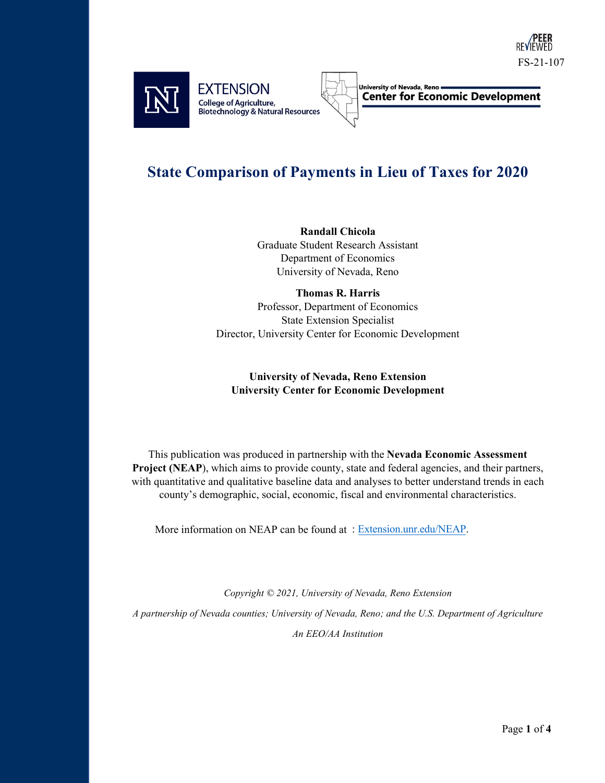



**Center for Economic Development** 

## **State Comparison of Payments in Lieu of Taxes for 2020**

**Randall Chicola** Graduate Student Research Assistant

Department of Economics University of Nevada, Reno

**Thomas R. Harris** Professor, Department of Economics State Extension Specialist Director, University Center for Economic Development

## **University of Nevada, Reno Extension University Center for Economic Development**

This publication was produced in partnership with the **Nevada Economic Assessment**  Project (NEAP), which aims to provide county, state and federal agencies, and their partners, with quantitative and qualitative baseline data and analyses to better understand trends in each county's demographic, social, economic, fiscal and environmental characteristics.

More information on NEAP can be found at : Extension.un[r.edu/NEAP.](https://extension.unr.edu/neap/default.aspx) 

*Copyright © 2021, University of Nevada, Reno Extension*

*A partnership of Nevada counties; University of Nevada, Reno; and the U.S. Department of Agriculture*

*An EEO/AA Institution*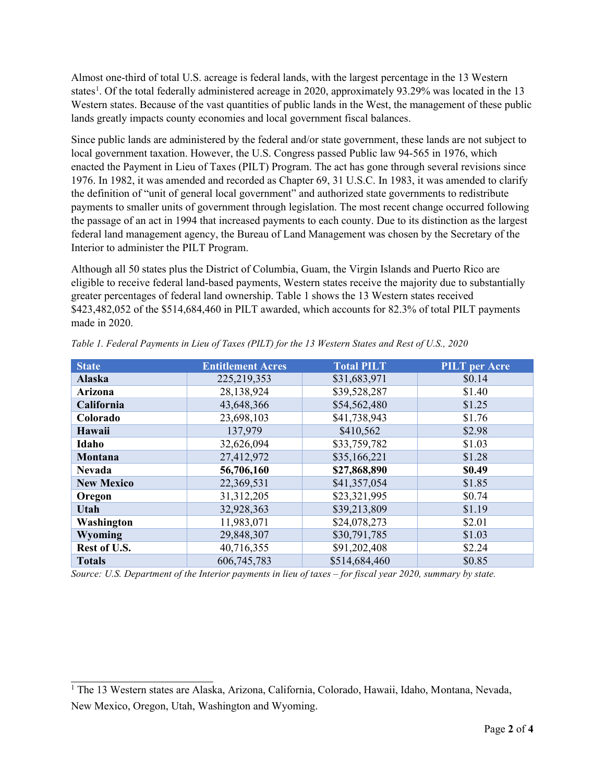Almost one-third of total U.S. acreage is federal lands, with the largest percentage in the 13 Western states<sup>[1](#page-1-0)</sup>. Of the total federally administered acreage in 2020, approximately 93.29% was located in the 13 Western states. Because of the vast quantities of public lands in the West, the management of these public lands greatly impacts county economies and local government fiscal balances.

Since public lands are administered by the federal and/or state government, these lands are not subject to local government taxation. However, the U.S. Congress passed Public law 94-565 in 1976, which enacted the Payment in Lieu of Taxes (PILT) Program. The act has gone through several revisions since 1976. In 1982, it was amended and recorded as Chapter 69, 31 U.S.C. In 1983, it was amended to clarify the definition of "unit of general local government" and authorized state governments to redistribute payments to smaller units of government through legislation. The most recent change occurred following the passage of an act in 1994 that increased payments to each county. Due to its distinction as the largest federal land management agency, the Bureau of Land Management was chosen by the Secretary of the Interior to administer the PILT Program.

Although all 50 states plus the District of Columbia, Guam, the Virgin Islands and Puerto Rico are eligible to receive federal land-based payments, Western states receive the majority due to substantially greater percentages of federal land ownership. Table 1 shows the 13 Western states received \$423,482,052 of the \$514,684,460 in PILT awarded, which accounts for 82.3% of total PILT payments made in 2020.

| <b>State</b>      | <b>Entitlement Acres</b> | <b>Total PILT</b> | <b>PILT</b> per Acre |
|-------------------|--------------------------|-------------------|----------------------|
| <b>Alaska</b>     | 225, 219, 353            | \$31,683,971      | \$0.14               |
| Arizona           | 28,138,924               | \$39,528,287      | \$1.40               |
| California        | 43,648,366               | \$54,562,480      | \$1.25               |
| Colorado          | 23,698,103               | \$41,738,943      | \$1.76               |
| Hawaii            | 137,979                  | \$410,562         | \$2.98               |
| Idaho             | 32,626,094               | \$33,759,782      | \$1.03               |
| Montana           | 27,412,972               | \$35,166,221      | \$1.28               |
| <b>Nevada</b>     | 56,706,160               | \$27,868,890      | \$0.49               |
| <b>New Mexico</b> | 22,369,531               | \$41,357,054      | \$1.85               |
| Oregon            | 31, 312, 205             | \$23,321,995      | \$0.74               |
| Utah              | 32,928,363               | \$39,213,809      | \$1.19               |
| Washington        | 11,983,071               | \$24,078,273      | \$2.01               |
| Wyoming           | 29,848,307               | \$30,791,785      | \$1.03               |
| Rest of U.S.      | 40,716,355               | \$91,202,408      | \$2.24               |
| <b>Totals</b>     | 606,745,783              | \$514,684,460     | \$0.85               |

*Table 1. Federal Payments in Lieu of Taxes (PILT) for the 13 Western States and Rest of U.S., 2020* 

*Source: U.S. Department of the Interior payments in lieu of taxes – for fiscal year 2020, summary by state.* 

<span id="page-1-0"></span><sup>&</sup>lt;sup>1</sup> The 13 Western states are Alaska, Arizona, California, Colorado, Hawaii, Idaho, Montana, Nevada, New Mexico, Oregon, Utah, Washington and Wyoming.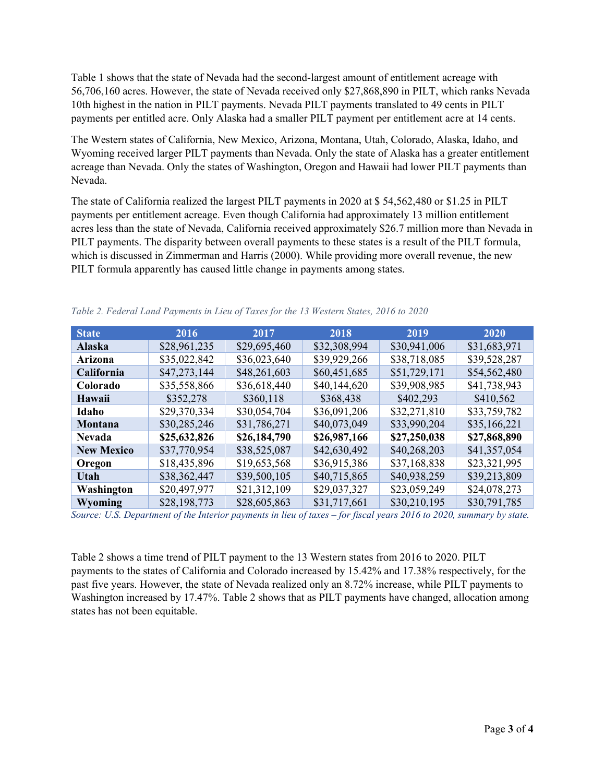Table 1 shows that the state of Nevada had the second-largest amount of entitlement acreage with 56,706,160 acres. However, the state of Nevada received only \$27,868,890 in PILT, which ranks Nevada 10th highest in the nation in PILT payments. Nevada PILT payments translated to 49 cents in PILT payments per entitled acre. Only Alaska had a smaller PILT payment per entitlement acre at 14 cents.

The Western states of California, New Mexico, Arizona, Montana, Utah, Colorado, Alaska, Idaho, and Wyoming received larger PILT payments than Nevada. Only the state of Alaska has a greater entitlement acreage than Nevada. Only the states of Washington, Oregon and Hawaii had lower PILT payments than Nevada.

The state of California realized the largest PILT payments in 2020 at \$ 54,562,480 or \$1.25 in PILT payments per entitlement acreage. Even though California had approximately 13 million entitlement acres less than the state of Nevada, California received approximately \$26.7 million more than Nevada in PILT payments. The disparity between overall payments to these states is a result of the PILT formula, which is discussed in Zimmerman and Harris (2000). While providing more overall revenue, the new PILT formula apparently has caused little change in payments among states.

| <b>State</b>      | 2016         | 2017         | 2018         | 2019         | 2020         |
|-------------------|--------------|--------------|--------------|--------------|--------------|
| <b>Alaska</b>     | \$28,961,235 | \$29,695,460 | \$32,308,994 | \$30,941,006 | \$31,683,971 |
| Arizona           | \$35,022,842 | \$36,023,640 | \$39,929,266 | \$38,718,085 | \$39,528,287 |
| California        | \$47,273,144 | \$48,261,603 | \$60,451,685 | \$51,729,171 | \$54,562,480 |
| Colorado          | \$35,558,866 | \$36,618,440 | \$40,144,620 | \$39,908,985 | \$41,738,943 |
| Hawaii            | \$352,278    | \$360,118    | \$368,438    | \$402,293    | \$410,562    |
| Idaho             | \$29,370,334 | \$30,054,704 | \$36,091,206 | \$32,271,810 | \$33,759,782 |
| Montana           | \$30,285,246 | \$31,786,271 | \$40,073,049 | \$33,990,204 | \$35,166,221 |
| <b>Nevada</b>     | \$25,632,826 | \$26,184,790 | \$26,987,166 | \$27,250,038 | \$27,868,890 |
| <b>New Mexico</b> | \$37,770,954 | \$38,525,087 | \$42,630,492 | \$40,268,203 | \$41,357,054 |
| Oregon            | \$18,435,896 | \$19,653,568 | \$36,915,386 | \$37,168,838 | \$23,321,995 |
| Utah              | \$38,362,447 | \$39,500,105 | \$40,715,865 | \$40,938,259 | \$39,213,809 |
| Washington        | \$20,497,977 | \$21,312,109 | \$29,037,327 | \$23,059,249 | \$24,078,273 |
| Wyoming           | \$28,198,773 | \$28,605,863 | \$31,717,661 | \$30,210,195 | \$30,791,785 |

*Table 2. Federal Land Payments in Lieu of Taxes for the 13 Western States, 2016 to 2020* 

*Source: U.S. Department of the Interior payments in lieu of taxes – for fiscal years 2016 to 2020, summary by state.*

Table 2 shows a time trend of PILT payment to the 13 Western states from 2016 to 2020. PILT payments to the states of California and Colorado increased by 15.42% and 17.38% respectively, for the past five years. However, the state of Nevada realized only an 8.72% increase, while PILT payments to Washington increased by 17.47%. Table 2 shows that as PILT payments have changed, allocation among states has not been equitable.